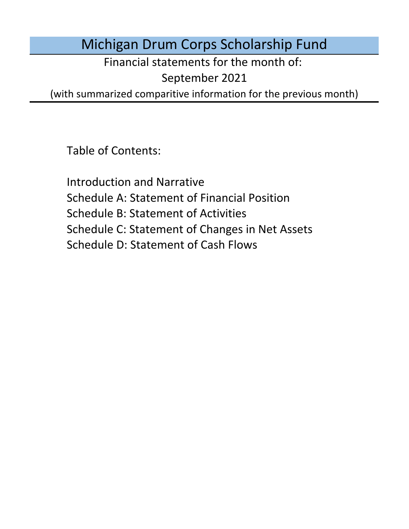Michigan Drum Corps Scholarship Fund

Financial statements for the month of:

September 2021

(with summarized comparitive information for the previous month)

Table of Contents:

Schedule D: Statement of Cash Flows Introduction and Narrative Schedule A: Statement of Financial Position Schedule B: Statement of Activities Schedule C: Statement of Changes in Net Assets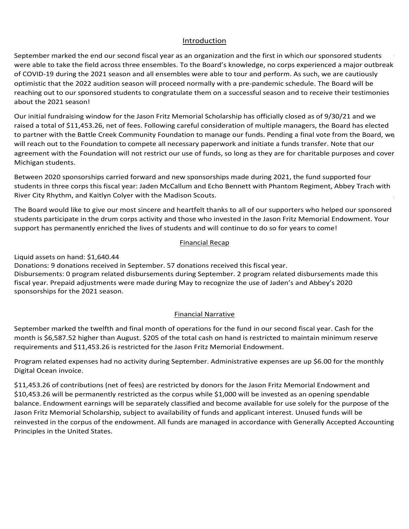### Introduction Introduction Introduction

Introduction<br>September marked the end our second fiscal year as an organization and the first in which our sponsored students Introduction<br>September marked the end our second fiscal year as an organization and the first in which our sponsored students<br>were able to take the field across three ensembles. To the Board's knowledge, no corps experienc of COVID-19 during the 2021 season and all ensembles were able to tour and perform. As such, we are cautiously optimistic that the 2022 audition season will proceed normally with a pre-pandemic schedule. The Board will be<br>example the contract of the contract of the contract of the contract of the contract of the contract of the co reaching out to our sponsored students to congratulate them on a successful season and to receive their testimonies  $\frac{1}{2}$  and  $\frac{1}{2}$  substitutions with space  $\frac{1}{2}$ students and the past three months and we have received feedback from and we have received feedback from the past three months and we have received feedback from the past three months and we have received from the past of about the 2021 season!<br>about the 2021 season! meeting scheduled in January 2021. With the announcement of virtual programs, planned events in Indianapolis, a instructional staff, or fans for the events at Lucas Oil Stadium in Indianapolis, IN from August 12 – 14 have been  $S$  and the thermal require all members to receive a vaccine prior to spring training. To date, they will member three to  $\mathcal{A}$ On March 31st, Drum Corps International released a brief overview of protective measures in place for the 2021 Scholarship Fund. Fundraising kicked off for Jason's endowment during July both virtually and in person at his

Our initial fundraising window for t Our initial fundraising window for the Jason Fritz Memorial Scholarship has officially closed as of 9/30/21 and we<br>raised a total of \$11,453.26, net of fees. Following careful consideration of multiple managers, the Board to partner with the Battle Creek Community Foundation to manage our funds. Pending a final vote from the Board, w 121 season!<br>ndraising window for the Jason Fritz Mem<br>I of \$11,453.26, net of fees. Following care will reach out to the Foundation to compete all necessary paperwork and initiate a funds transfer. Note that our agreement with the Foundation will not restrict our use of funds, so id<br>Michigan students about the 2021 season!<br>Our initial fundraising window for the Jason Fritz Memorial Scholarship has officially closed as of 9/30/21 and we will reach out to the Foundation to compete an necessary paperwork and initiate a funds transier. Note that our<br>Agreement with the Foundation will not restrict our wee of funds, so lang as they are for sharitable nurnaese will reach out to the Foundation to compete all necessary paperwork and initiate a funds transfer. Note that our<br>agreement with the Foundation will not restrict our use of funds, so long as they are for charitable purposes case basis and will be in contact with the board as more specific information in  $\sigma$ d across three ensembles. To the Board's knowledge, no corps experienced a major outbrea<br>021 season and all ensembles were able to tour and perform. As such, we are cautiously<br>uudition season will proceed normally with a p md fiscal year as an organization and the first in which our sponsored students<br>of een ensembles. To the Board's knowledge, no corps experienced a major outbreand all ensembles were able to tour and perform. As such, we ar  $A$  and board have been actively working towards website improvements, branding website improvements, branding  $\mathcal{A}$  $\overline{2}$  season. Until a vaccine is developed, he believes all all audition and rehearsal camps will be likewise will be likewise  $\overline{2}$  $\mathcal{L}_{\text{max}}$  season. Until a vaccine is developed, he believes all all audition and rehearsal camps will be likely agreement with the Foundation will not restrict our use of funds, so long as they are for charitable purposes and cover<br>Michigan students Michigan students. The contract of the contract of the contract of the contract of the contract of the contract of the contract of the contract of the contract of the contract of the contract of the contract of the contrac ed a total of \$11,453.26, net of fees. Following careful consideration of multiple managers, the Board has elected<br>partner with the Battle Creek Community Foundation to manage our funds. Pending a final vote from the Board virtual drum major and leadership clinical drum major as well as a new Experiment Lesson Series designed for b<br>Michigan students. The Crossmen announced The Collective as the Collective as the Collective auditions, monthly classes, and private  $\alpha$ to partner with the Battle Creek Community Foundation to manage our funds. Pending a final vote from the Board, we platforms for virtual instruction and audition and audition camps. Phantom Regiment Academy for Phantom Regiment Academy for virtual the Phantom Regiment Academy for virtual and academy for virtual the Phantom Regiment Aca virtual drum major and leadership clinics as well as a new Expert Lesson Series designed for beginner band students. ecessary paperwork a<br>our use of funds, so lor<br>new sponsorships ma<br>Callum and Echo Benn agreement with the Foundation will not restrict our use of funds, so long as they are for charitable purposes and cover scholarship fund received one new application during March but disbursed no funds for students during the September marked the end our second fixsal year as an origination and the first in which our sponsored students<br>of CDVID-120 during the drum corps season and all ensembles. To the Board's knowledge, no corps experienced a  $\frac{1}{2}$  of the scholarship applications during  $\frac{1}{2}$  and  $\frac{1}{2}$  are sponsored students from sponsored students from  $\frac{1}{2}$  and  $\frac{1}{2}$  and  $\frac{1}{2}$  are sponsored students from sponsored students from sponso  $2020$  and this year's sponsored studients, we had a total of four students marching with the corps three corps three corps that  $\alpha$ 

Michigan students.<br>Between 2020 sponsorships carried forward and new sponsorships made during 2021, the fund supported four students in three corps this fiscal year: Jaden McCallum and Echo Bennett with Phantom Regiment, Abbey Trach with River City Rhythm, and Kaitlyn Colyer with the Madison Scouts.

The Board would like to give our most sincere and heartfelt thanks to all of our supporters who helped our sponsored<br>students participate in the drum corps activity and those who invested in the Jason Fritz Memorial Endowm students participate in the drum corps activity and those who invested in the Jason Fritz Memorial Endowment. Your<br>students participate in the drum corps activity and those who invested in the Jason Fritz Memorial Endowmen students participate in the drum corps activity and those who invested in the Jason Fritz Memorial Endowment. Your<br>support has permanently enriched the lives of students and will continue to do so for years to come! parties as more information becomes available. receiving a 400.000 refunds for Echo Bennett's unused scholarship payment but Crossmen has not Echo Bennett's u<br>Echo Bennett's unused scholarship payment but Crossmen has not Echo Bennett's unused scholarship payment of Ec Donations: 8 donations received in August.

### $N_{\rm{nonlocal}}$  restricted by the Board are included under the Board are included under the Board are included under under the Board are included under the Board are included under the Board are included under the Board are in **Financial Recap** state of the marching arts and will provide updates to all interested parties as more information is available. Financial Recap Disbursements: 0 program relations: 0 program relations: 0 program relations: 0 program relations: 0 program re

### Disbursements: 0 program related disbursements during June. Donations: 0 donations received during July.  $b$ and:  $\dot{c}$ 1 640 44  $t_{\text{initial}}$  genete an band: C1 C10  $\mu$ 1

Liquid assets on hand:  $$1,640.44$ n<br>Donations: 9 donations received in September. 57 donations received this fiscal year.<br>Dishumamenta 8 nuasures seleted dishusterenceta during Santaraker. 3 nuasures seleted dishusterencents mode this Einancial Recap<br>Donations: 9 donations received in September. 57 donations received this fiscal year.<br>Disbursements: 0 program related disbursements during September. 2 program related disbursements made this<br>fiscal year. sponsorships for the 2021 season. Disbursements: 0 program related disbursements during September. 2 program related disbursers of the complete Disbursements: 0 program related disbursements during October. 0 program related disbursements made this fiscal equid assets of nanal 51,040.44<br>Donations: 9 donations received in September. 57 donations received this fiscal vear. Disbursements: 0 program related disbursements during September. 2 program related disbursements made this problem in Disputements: 0 program related disbursements: 0 program related disbursements and this Biscal year. Prepaid adjustments were made during May to recognize the use of Jaden's and Abbey's 2020 s received<br>. . Donations. 5 donations received in september. 37 donations received this nsear year.<br>Disbursements: 0 program related disbursements during September. 2 program related disbursements made this fiscal year. Prepaid adjustments were made during May to recognize the use of Jaden's and Abbey's 2020 Liquid assets on hand: \$1,640.44<br>Donations: 9 donations received in September. 57 donations received this fiscal year. their 2021 use of last year's sponsorships. The refund received from Legends was deposited in June and reduces our Disbursements: 0 program related disbursements during September. 2 program related disbursements made this<br>fiscal year. Prepaid adjustments were made during May to recognize the use of Jaden's and Abbey's 2020<br>sponsorships July. Prepaid adjustments were made last month for Jaden's and Abbey's sponsorships to recognize their 2021 use of Bisbursements: 6 program related dispursements damig september: 2 program related dispursements made this<br>fiscal year. Prepaid adjustments were made during May to recognize the use of Jaden's and Abbey's 2020

### Financial Narrative  $r_{\text{inomial}}$   $N_{\text{inomial}}$  $L^2$  the total case on is currently restricted to  $L^2$ november marked the second month of operations for the fund in our second fiscal year. Cash for the month in our second fiscal year. Cash for the month in our second fiscal year. Cash for the month is cash for the month is lower than November. \$205 of the total cash on hand is currently restricted to maintain minimum reserve Financiar marked the fifth month of operations for the fund in our second fiscal year. Cash for the month is  $6.00$ the Madison Scouts for the Madison Scouts for the into the preferred mailing address.  $1,590$  $2021$  seconduction, the 2020 season due to the 2020 season cancellation, the 2020 season cancellation, the 20 \$1,114.00 higher than July. \$205 of the total cash on hand is currently restricted to maintain minimum reserve requirements and \$4,918.41 is restricted for the Jason Fritz Memorial Endowment. The Jason Fritz Memorial Endowment of the Jason Fritz Memorial Endowment. The Jason Fritz Memorial Endowment of the Jason Fritz Memorial Endo

September marked the twelfth and final month of operations for the fund in our second fiscal year. Cash for the September marked the twenth and miarmonth of operations for the fund in our second fiscal year. Cash for the s<br>month is \$6.587.52 higher than August. \$205 of the total cash on hand is restricted to maintain minimum reserve requirements and \$11,453.26 is restricted for the Jason Fritz Memorial Endowment. thon this suppose than Higher than August. 5205 of the total cash on hand is restricted to maintain minimum reserve<br>In write weeks and 644,459.96 is matricked factles lasen. Filte Managial Factaway at september marked the twenth and miarmonth or operations for the rund in our second ristaryear. Cash for the<br>month is \$6.587.52 higher than August. \$205 of the total cash on hand is restricted to maintain minimum reserve month is \$6,587.52 higher than August. \$205 of the total cash on hand is restricted to maintain minimum reserve<br>securiose and 244,452.25 is restricted factball seen Fitt Magaziel Federators month is \$6.587.52 higher than August. \$205 of the total cash on hand is restricted to maintain minimum reserve higher than April. \$205 of the total cash on hand is currently restricted to maintain minimum reserve requirements.  $M_{\rm eff}$  of the total cash on the total cash on hand is currently restricted to maintain minimum reserve requirements. September marked the twelfth and final month of operations for the fund in our second fiscal year. Cash for the<br>experiences in the second in the second final state of the second fiscal year. Cash for the month is \$6,587.52 higher than August. \$205 of the total cash on hand is restricted to maintain minimum reserve<br>
This case of the case of the case of the case of the case of the case of the case of the case of the case of

Program related expenses had no activity during September. Administrative expenses are up \$6.00 for the mont Digital Ocean invoice. 2020 rugiani related expenses had no activity during september. Administrative expenses are up \$0,00 for the montr<br>Digital Ocean-invoice Lower for refunds received *received into received into 2021.* business checking account and the annual website domain name renewal. With the cancellation of the 2020 Program related expenses had no activity during September. Administrative expenses are up \$6.00 for the monthly<br>Digital Osean invoice refunds received / reclassifications made for contracts carried into 2021. Program related expenses had no activity during septem.<br>Disitel Ocean invoice Program related expenses had no activity during September. Administrative expenses are up \$6.00 for the No funds are currently restricted by outside donors. All restrictions made by the Board are included under under Program related expenses had no activity during September. Administrative expenses are up \$6.00 for the monthly<br>Disitel Ossen invaise Ungitat Ocean Fivolce. With General lines in accordance with General Lines in the United States. Program related expenses had no activity during September. Administrative expenses are up \$6.00 for the monthly  $\mathcal{L}$  for the monthly Digital Ocean involvement in  $\mathcal{L}$ increased \$400 during June for entry of Echo's sponsorship with Phantom Regiment.  $\mathcal{L}$ Program related expenses had no activity during September. Administrative expenses are up \$6.00 for the monthly<br>Pillin 1.0 bigital ocean invoice.<br>Digital Scholarship, subject to availability of the purpose of the purpose of funds of funds of funds of funds

\$11,453.26 of contributions (net of fees) are restricted by donors for the Jason Fritz Memorial Endowment and \$10,453.26 will be permanently restricted as the corpus while \$1,000 will be invested as an opening spendable balance. Endowment earnings will be separately classified and become available for use solely for the purpose \$10,453.26 will be permanently restricted as the corpus while \$1,000 will be invested as an opening spendable Unrestricted Funds in accordance with Generally Accepted Accounting Principles in the United States. Jason Fritz Memorial Scholarship, subject to availability of funds and applicant interest. Unused funds will be reinvested in the corpus of the endowment. All funds are managed in accordance with Generally Accepted Accounting balance. Endowment earnings will be separately classified and become available for use solely for the purpose of the Principles in the United States.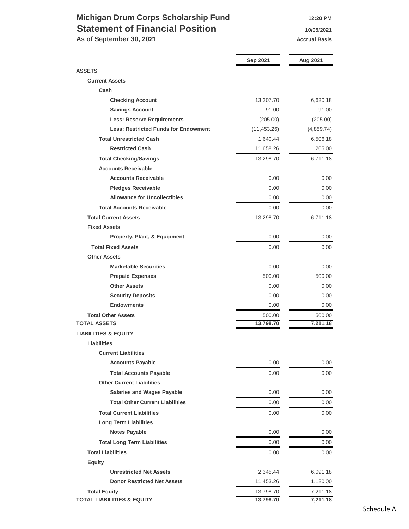## **Michigan Drum Corps Scholarship Fund** 12:20 PM **Statement of Financial Position 10/05/2021**

As of September 30, 2021 **Accrual Basis Accrual Basis** 

|                                             | Sep 2021     | Aug 2021   |
|---------------------------------------------|--------------|------------|
| <b>ASSETS</b>                               |              |            |
| <b>Current Assets</b>                       |              |            |
| Cash                                        |              |            |
| <b>Checking Account</b>                     | 13,207.70    | 6,620.18   |
| <b>Savings Account</b>                      | 91.00        | 91.00      |
| <b>Less: Reserve Requirements</b>           | (205.00)     | (205.00)   |
| <b>Less: Restricted Funds for Endowment</b> | (11, 453.26) | (4,859.74) |
| <b>Total Unrestricted Cash</b>              | 1,640.44     | 6,506.18   |
| <b>Restricted Cash</b>                      | 11,658.26    | 205.00     |
| <b>Total Checking/Savings</b>               | 13,298.70    | 6,711.18   |
| <b>Accounts Receivable</b>                  |              |            |
| <b>Accounts Receivable</b>                  | 0.00         | 0.00       |
| <b>Pledges Receivable</b>                   | 0.00         | 0.00       |
| <b>Allowance for Uncollectibles</b>         | 0.00         | 0.00       |
| <b>Total Accounts Receivable</b>            | 0.00         | 0.00       |
| <b>Total Current Assets</b>                 | 13,298.70    | 6,711.18   |
| <b>Fixed Assets</b>                         |              |            |
| <b>Property, Plant, &amp; Equipment</b>     | 0.00         | 0.00       |
| <b>Total Fixed Assets</b>                   | 0.00         | 0.00       |
| <b>Other Assets</b>                         |              |            |
| <b>Marketable Securities</b>                | 0.00         | 0.00       |
| <b>Prepaid Expenses</b>                     | 500.00       | 500.00     |
| <b>Other Assets</b>                         | 0.00         | 0.00       |
| <b>Security Deposits</b>                    | 0.00         | 0.00       |
| <b>Endowments</b>                           | 0.00         | 0.00       |
| <b>Total Other Assets</b>                   | 500.00       | 500.00     |
| <b>TOTAL ASSETS</b>                         | 13,798.70    | 7,211.18   |
| <b>LIABILITIES &amp; EQUITY</b>             |              |            |
| <b>Liabilities</b>                          |              |            |
| <b>Current Liabilities</b>                  |              |            |
| <b>Accounts Payable</b>                     | 0.00         | 0.00       |
| <b>Total Accounts Payable</b>               | 0.00         | $0.00\,$   |
| <b>Other Current Liabilities</b>            |              |            |
| <b>Salaries and Wages Payable</b>           | 0.00         | 0.00       |
| <b>Total Other Current Liabilities</b>      | 0.00         | 0.00       |
| <b>Total Current Liabilities</b>            | 0.00         | 0.00       |
| <b>Long Term Liabilities</b>                |              |            |
| <b>Notes Payable</b>                        | 0.00         | 0.00       |
| <b>Total Long Term Liabilities</b>          | 0.00         | 0.00       |
| <b>Total Liabilities</b>                    | 0.00         | 0.00       |
| Equity                                      |              |            |
| <b>Unrestricted Net Assets</b>              | 2,345.44     | 6,091.18   |
| <b>Donor Restricted Net Assets</b>          | 11,453.26    | 1,120.00   |
| <b>Total Equity</b>                         | 13,798.70    | 7,211.18   |
| <b>TOTAL LIABILITIES &amp; EQUITY</b>       | 13,798.70    | 7,211.18   |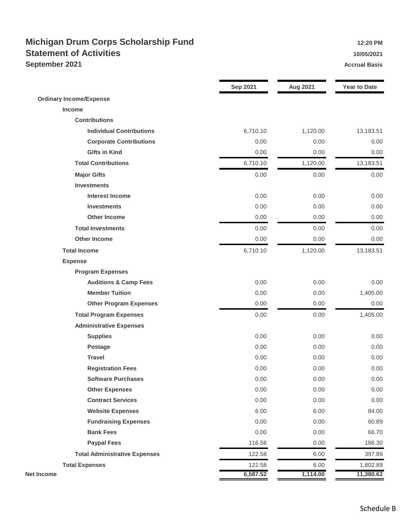## **Michigan Drum Corps Scholarship Fund 12:20 PM Statement of Activities 10/05/2021 September 2021 Accrual Basis Accrual Basis**

|                                      | <b>Sep 2021</b> | <b>Aug 2021</b> | <b>Year to Date</b> |
|--------------------------------------|-----------------|-----------------|---------------------|
| <b>Ordinary Income/Expense</b>       |                 |                 |                     |
| Income                               |                 |                 |                     |
| <b>Contributions</b>                 |                 |                 |                     |
| <b>Individual Contributions</b>      | 6,710.10        | 1,120.00        | 13,183.51           |
| <b>Corporate Contributions</b>       | 0.00            | 0.00            | 0.00                |
| <b>Gifts in Kind</b>                 | 0.00            | 0.00            | 0.00                |
| <b>Total Contributions</b>           | 6,710.10        | 1,120.00        | 13,183.51           |
| <b>Major Gifts</b>                   | 0.00            | 0.00            | 0.00                |
| <b>Investments</b>                   |                 |                 |                     |
| <b>Interest Income</b>               | 0.00            | 0.00            | 0.00                |
| <b>Investments</b>                   | 0.00            | 0.00            | 0.00                |
| <b>Other Income</b>                  | 0.00            | 0.00            | 0.00                |
| <b>Total Investments</b>             | 0.00            | 0.00            | 0.00                |
| <b>Other Income</b>                  | 0.00            | 0.00            | 0.00                |
| <b>Total Income</b>                  | 6,710.10        | 1,120.00        | 13,183.51           |
| <b>Expense</b>                       |                 |                 |                     |
| <b>Program Expenses</b>              |                 |                 |                     |
| <b>Auditions &amp; Camp Fees</b>     | 0.00            | 0.00            | 0.00                |
| <b>Member Tuition</b>                | 0.00            | 0.00            | 1,405.00            |
| <b>Other Program Expenses</b>        | 0.00            | 0.00            | 0.00                |
| <b>Total Program Expenses</b>        | 0.00            | 0.00            | 1,405.00            |
| <b>Administrative Expenses</b>       |                 |                 |                     |
| <b>Supplies</b>                      | 0.00            | 0.00            | 0.00                |
| <b>Postage</b>                       | 0.00            | 0.00            | 0.00                |
| <b>Travel</b>                        | 0.00            | 0.00            | 0.00                |
| <b>Registration Fees</b>             | 0.00            | 0.00            | 0.00                |
| <b>Software Purchases</b>            | 0.00            | 0.00            | 0.00                |
| <b>Other Expenses</b>                | 0.00            | 0.00            | 0.00                |
| <b>Contract Services</b>             | 0.00            | 0.00            | 0.00                |
| <b>Website Expenses</b>              | 6.00            | 6.00            | 84.00               |
| <b>Fundraising Expenses</b>          | 0.00            | 0.00            | 60.89               |
| <b>Bank Fees</b>                     | 0.00            | 0.00            | 66.70               |
| <b>Paypal Fees</b>                   | 116.58          | 0.00            | 186.30              |
| <b>Total Administrative Expenses</b> | 122.58          | 6.00            | 397.89              |
| <b>Total Expenses</b>                | 122.58          | 6.00            | 1,802.89            |
| <b>Net Income</b>                    | 6,587.52        | 1,114.00        | 11,380.62           |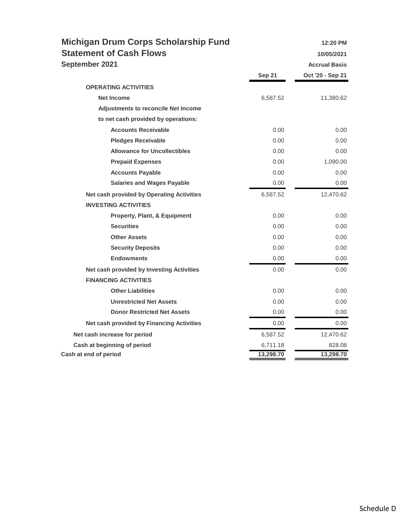| <b>Michigan Drum Corps Scholarship Fund</b> |               | 12:20 PM             |
|---------------------------------------------|---------------|----------------------|
| <b>Statement of Cash Flows</b>              |               | 10/05/2021           |
| September 2021                              |               | <b>Accrual Basis</b> |
|                                             | <b>Sep 21</b> | Oct '20 - Sep 21     |
| <b>OPERATING ACTIVITIES</b>                 |               |                      |
| <b>Net Income</b>                           | 6,587.52      | 11,380.62            |
| <b>Adjustments to reconcile Net Income</b>  |               |                      |
| to net cash provided by operations:         |               |                      |
| <b>Accounts Receivable</b>                  | 0.00          | 0.00                 |
| <b>Pledges Receivable</b>                   | 0.00          | 0.00                 |
| <b>Allowance for Uncollectibles</b>         | 0.00          | 0.00                 |
| <b>Prepaid Expenses</b>                     | 0.00          | 1,090.00             |
| <b>Accounts Payable</b>                     | 0.00          | 0.00                 |
| <b>Salaries and Wages Payable</b>           | 0.00          | 0.00                 |
| Net cash provided by Operating Activities   | 6,587.52      | 12,470.62            |
| <b>INVESTING ACTIVITIES</b>                 |               |                      |
| Property, Plant, & Equipment                | 0.00          | 0.00                 |
| <b>Securities</b>                           | 0.00          | 0.00                 |
| <b>Other Assets</b>                         | 0.00          | 0.00                 |
| <b>Security Deposits</b>                    | 0.00          | 0.00                 |
| <b>Endowments</b>                           | 0.00          | 0.00                 |
| Net cash provided by Investing Activities   | 0.00          | 0.00                 |
| <b>FINANCING ACTIVITIES</b>                 |               |                      |
| <b>Other Liabilities</b>                    | 0.00          | 0.00                 |
| <b>Unrestricted Net Assets</b>              | 0.00          | 0.00                 |
| <b>Donor Restricted Net Assets</b>          | 0.00          | 0.00                 |
| Net cash provided by Financing Activities   | 0.00          | 0.00                 |
| Net cash increase for period                | 6,587.52      | 12,470.62            |
| Cash at beginning of period                 | 6,711.18      | 828.08               |
| Cash at end of period                       | 13,298.70     | 13,298.70            |